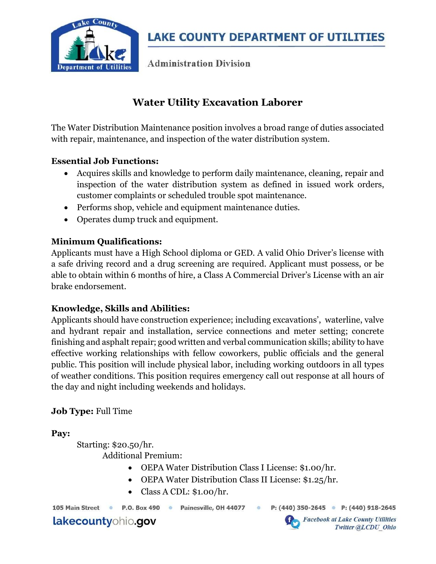

**Administration Division** 

# Water Utility Excavation Laborer

The Water Distribution Maintenance position involves a broad range of duties associated with repair, maintenance, and inspection of the water distribution system.

#### Essential Job Functions:

- Acquires skills and knowledge to perform daily maintenance, cleaning, repair and inspection of the water distribution system as defined in issued work orders, customer complaints or scheduled trouble spot maintenance.
- Performs shop, vehicle and equipment maintenance duties.
- Operates dump truck and equipment.

### Minimum Qualifications:

Applicants must have a High School diploma or GED. A valid Ohio Driver's license with a safe driving record and a drug screening are required. Applicant must possess, or be able to obtain within 6 months of hire, a Class A Commercial Driver's License with an air brake endorsement.

### Knowledge, Skills and Abilities:

Applicants should have construction experience; including excavations', waterline, valve and hydrant repair and installation, service connections and meter setting; concrete finishing and asphalt repair; good written and verbal communication skills; ability to have effective working relationships with fellow coworkers, public officials and the general public. This position will include physical labor, including working outdoors in all types of weather conditions. This position requires emergency call out response at all hours of the day and night including weekends and holidays.

### Job Type: Full Time

Pay:

Starting: \$20.50/hr. Additional Premium:

- OEPA Water Distribution Class I License: \$1.00/hr.
- OEPA Water Distribution Class II License: \$1.25/hr.
- Class A CDL: \$1.00/hr.

P.O. Box 490 · Painesville, OH 44077  $\ddot{\circ}$ P: (440) 350-2645 • P: (440) 918-2645

lakecountyohio.gov

105 Main Street ·

**Facebook at Lake County Utilities** Twitter @LCDU Ohio